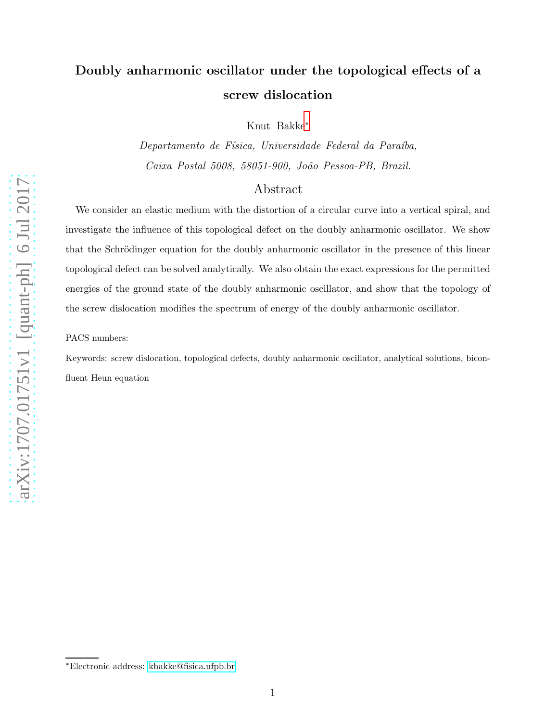# Doubly anharmonic oscillator under the topological effects of a screw dislocation

Knut Bakke[∗](#page-0-0)

Departamento de Física, Universidade Federal da Paraíba, Caixa Postal 5008, 58051-900, João Pessoa-PB, Brazil.

### Abstract

We consider an elastic medium with the distortion of a circular curve into a vertical spiral, and investigate the influence of this topological defect on the doubly anharmonic oscillator. We show that the Schrödinger equation for the doubly anharmonic oscillator in the presence of this linear topological defect can be solved analytically. We also obtain the exact expressions for the permitted energies of the ground state of the doubly anharmonic oscillator, and show that the topology of the screw dislocation modifies the spectrum of energy of the doubly anharmonic oscillator.

PACS numbers:

<span id="page-0-0"></span>Keywords: screw dislocation, topological defects, doubly anharmonic oscillator, analytical solutions, biconfluent Heun equation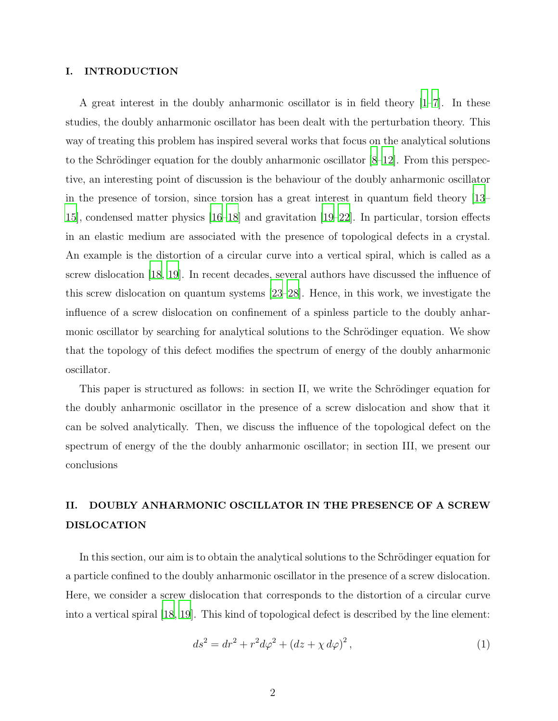### I. INTRODUCTION

A great interest in the doubly anharmonic oscillator is in field theory [\[1](#page-5-0)[–7\]](#page-5-1). In these studies, the doubly anharmonic oscillator has been dealt with the perturbation theory. This way of treating this problem has inspired several works that focus on the analytical solutions to the Schrödinger equation for the doubly anharmonic oscillator  $[8-12]$ . From this perspective, an interesting point of discussion is the behaviour of the doubly anharmonic oscillator in the presence of torsion, since torsion has a great interest in quantum field theory [\[13](#page-5-4)– [15\]](#page-6-0), condensed matter physics [\[16](#page-6-1)[–18\]](#page-6-2) and gravitation [\[19](#page-6-3)[–22\]](#page-6-4). In particular, torsion effects in an elastic medium are associated with the presence of topological defects in a crystal. An example is the distortion of a circular curve into a vertical spiral, which is called as a screw dislocation [\[18](#page-6-2), [19\]](#page-6-3). In recent decades, several authors have discussed the influence of this screw dislocation on quantum systems [\[23](#page-6-5)[–28\]](#page-6-6). Hence, in this work, we investigate the influence of a screw dislocation on confinement of a spinless particle to the doubly anharmonic oscillator by searching for analytical solutions to the Schrödinger equation. We show that the topology of this defect modifies the spectrum of energy of the doubly anharmonic oscillator.

This paper is structured as follows: in section II, we write the Schrödinger equation for the doubly anharmonic oscillator in the presence of a screw dislocation and show that it can be solved analytically. Then, we discuss the influence of the topological defect on the spectrum of energy of the the doubly anharmonic oscillator; in section III, we present our conclusions

## II. DOUBLY ANHARMONIC OSCILLATOR IN THE PRESENCE OF A SCREW DISLOCATION

In this section, our aim is to obtain the analytical solutions to the Schrödinger equation for a particle confined to the doubly anharmonic oscillator in the presence of a screw dislocation. Here, we consider a screw dislocation that corresponds to the distortion of a circular curve into a vertical spiral [\[18](#page-6-2), [19](#page-6-3)]. This kind of topological defect is described by the line element:

<span id="page-1-0"></span>
$$
ds^{2} = dr^{2} + r^{2} d\varphi^{2} + (dz + \chi d\varphi)^{2},
$$
\n(1)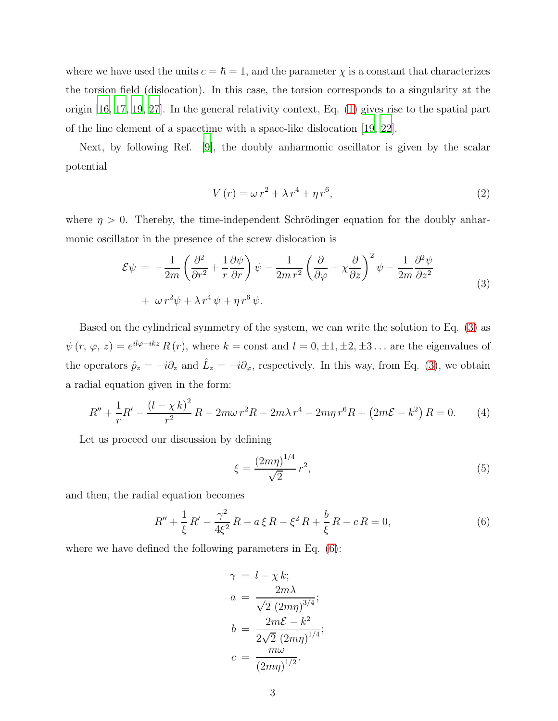where we have used the units  $c = \hbar = 1$ , and the parameter  $\chi$  is a constant that characterizes the torsion field (dislocation). In this case, the torsion corresponds to a singularity at the origin [\[16,](#page-6-1) [17](#page-6-7), [19,](#page-6-3) [27](#page-6-8)]. In the general relativity context, Eq. [\(1\)](#page-1-0) gives rise to the spatial part of the line element of a spacetime with a space-like dislocation [\[19,](#page-6-3) [22\]](#page-6-4).

Next, by following Ref. [\[9\]](#page-5-5), the doubly anharmonic oscillator is given by the scalar potential

$$
V(r) = \omega r^2 + \lambda r^4 + \eta r^6,
$$
\n<sup>(2)</sup>

where  $\eta > 0$ . Thereby, the time-independent Schrödinger equation for the doubly anharmonic oscillator in the presence of the screw dislocation is

<span id="page-2-0"></span>
$$
\mathcal{E}\psi = -\frac{1}{2m} \left( \frac{\partial^2}{\partial r^2} + \frac{1}{r} \frac{\partial \psi}{\partial r} \right) \psi - \frac{1}{2m r^2} \left( \frac{\partial}{\partial \varphi} + \chi \frac{\partial}{\partial z} \right)^2 \psi - \frac{1}{2m} \frac{\partial^2 \psi}{\partial z^2} + \omega r^2 \psi + \lambda r^4 \psi + \eta r^6 \psi.
$$
\n(3)

Based on the cylindrical symmetry of the system, we can write the solution to Eq. [\(3\)](#page-2-0) as  $\psi(r, \varphi, z) = e^{i l \varphi + i k z} R(r)$ , where  $k = \text{const}$  and  $l = 0, \pm 1, \pm 2, \pm 3, \ldots$  are the eigenvalues of the operators  $\hat{p}_z = -i\partial_z$  and  $\hat{L}_z = -i\partial_\varphi$ , respectively. In this way, from Eq. [\(3\)](#page-2-0), we obtain a radial equation given in the form:

$$
R'' + \frac{1}{r}R' - \frac{(l - \chi k)^2}{r^2}R - 2m\omega r^2R - 2m\lambda r^4 - 2m\eta r^6R + (2m\mathcal{E} - k^2)R = 0.
$$
 (4)

Let us proceed our discussion by defining

$$
\xi = \frac{(2m\eta)^{1/4}}{\sqrt{2}}r^2,\tag{5}
$$

and then, the radial equation becomes

<span id="page-2-1"></span>
$$
R'' + \frac{1}{\xi} R' - \frac{\gamma^2}{4\xi^2} R - a \xi R - \xi^2 R + \frac{b}{\xi} R - c R = 0,
$$
\n(6)

where we have defined the following parameters in Eq. [\(6\)](#page-2-1):

$$
\gamma = l - \chi k;
$$
  
\n
$$
a = \frac{2m\lambda}{\sqrt{2} (2m\eta)^{3/4}};
$$
  
\n
$$
b = \frac{2m\mathcal{E} - k^2}{2\sqrt{2} (2m\eta)^{1/4}};
$$
  
\n
$$
c = \frac{m\omega}{(2m\eta)^{1/2}}.
$$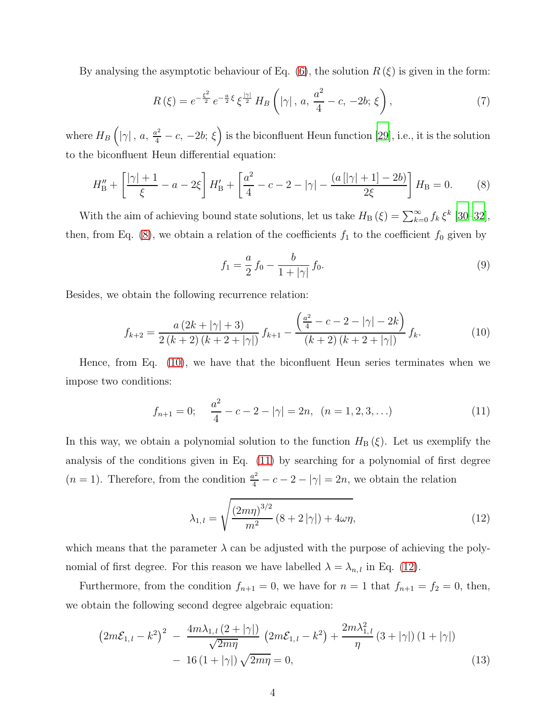By analysing the asymptotic behaviour of Eq. [\(6\)](#page-2-1), the solution  $R(\xi)$  is given in the form:

<span id="page-3-5"></span>
$$
R(\xi) = e^{-\frac{\xi^2}{2}} e^{-\frac{a}{2}\xi} \xi^{\frac{|\gamma|}{2}} H_B\left(|\gamma|, a, \frac{a^2}{4} - c, -2b; \xi\right),\tag{7}
$$

where  $H_B\left( |\gamma| \, , \, a, \, \frac{a^2}{4}-c, \, -2b ; \, \xi \right)$  is the biconfluent Heun function [\[29](#page-6-9)], i.e., it is the solution to the biconfluent Heun differential equation:

<span id="page-3-0"></span>
$$
H''_{\rm B} + \left[\frac{|\gamma|+1}{\xi} - a - 2\xi\right]H'_{\rm B} + \left[\frac{a^2}{4} - c - 2 - |\gamma| - \frac{(a\left[|\gamma|+1\right]-2b)}{2\xi}\right]H_{\rm B} = 0. \tag{8}
$$

With the aim of achieving bound state solutions, let us take  $H_{\text{B}}(\xi) = \sum_{k=0}^{\infty} f_k \xi^k$  [\[30](#page-6-10)[–32\]](#page-6-11), then, from Eq. [\(8\)](#page-3-0), we obtain a relation of the coefficients  $f_1$  to the coefficient  $f_0$  given by

$$
f_1 = \frac{a}{2} f_0 - \frac{b}{1 + |\gamma|} f_0.
$$
\n(9)

Besides, we obtain the following recurrence relation:

<span id="page-3-1"></span>
$$
f_{k+2} = \frac{a(2k + |\gamma| + 3)}{2(k+2)(k+2 + |\gamma|)} f_{k+1} - \frac{\left(\frac{a^2}{4} - c - 2 - |\gamma| - 2k\right)}{(k+2)(k+2 + |\gamma|)} f_k.
$$
 (10)

Hence, from Eq. [\(10\)](#page-3-1), we have that the biconfluent Heun series terminates when we impose two conditions:

<span id="page-3-2"></span>
$$
f_{n+1} = 0; \quad \frac{a^2}{4} - c - 2 - |\gamma| = 2n, \ (n = 1, 2, 3, \ldots)
$$
 (11)

In this way, we obtain a polynomial solution to the function  $H_B(\xi)$ . Let us exemplify the analysis of the conditions given in Eq. [\(11\)](#page-3-2) by searching for a polynomial of first degree  $(n = 1)$ . Therefore, from the condition  $\frac{a^2}{4} - c - 2 - |\gamma| = 2n$ , we obtain the relation

<span id="page-3-3"></span>
$$
\lambda_{1,l} = \sqrt{\frac{(2m\eta)^{3/2}}{m^2} (8 + 2|\gamma|) + 4\omega\eta},\tag{12}
$$

which means that the parameter  $\lambda$  can be adjusted with the purpose of achieving the polynomial of first degree. For this reason we have labelled  $\lambda = \lambda_{n,l}$  in Eq. [\(12\)](#page-3-3).

Furthermore, from the condition  $f_{n+1} = 0$ , we have for  $n = 1$  that  $f_{n+1} = f_2 = 0$ , then, we obtain the following second degree algebraic equation:

<span id="page-3-4"></span>
$$
\left(2m\mathcal{E}_{1,l} - k^2\right)^2 - \frac{4m\lambda_{1,l}\left(2+|\gamma|\right)}{\sqrt{2m\eta}} \left(2m\mathcal{E}_{1,l} - k^2\right) + \frac{2m\lambda_{1,l}^2}{\eta} \left(3+|\gamma|\right)\left(1+|\gamma|\right) - 16\left(1+|\gamma|\right)\sqrt{2m\eta} = 0,
$$
\n(13)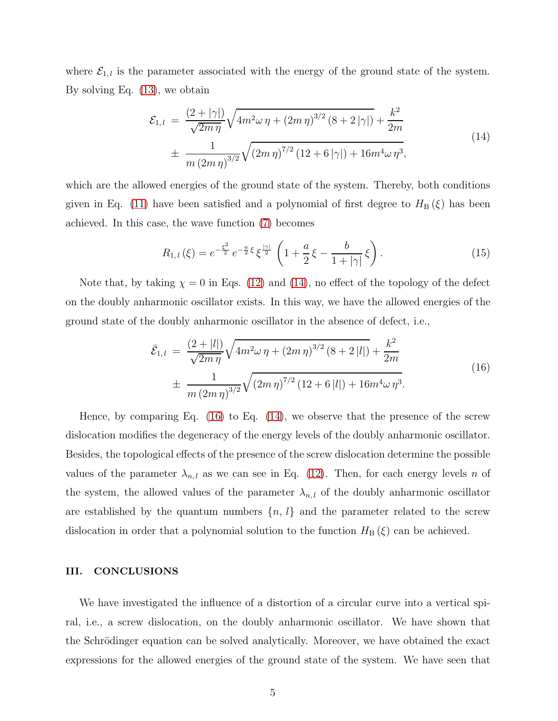where  $\mathcal{E}_{1,l}$  is the parameter associated with the energy of the ground state of the system. By solving Eq. [\(13\)](#page-3-4), we obtain

<span id="page-4-0"></span>
$$
\mathcal{E}_{1,l} = \frac{(2+|\gamma|)}{\sqrt{2m\eta}} \sqrt{4m^2\omega\eta + (2m\eta)^{3/2} (8+2|\gamma|)} + \frac{k^2}{2m}
$$
  

$$
\pm \frac{1}{m(2m\eta)^{3/2}} \sqrt{(2m\eta)^{7/2} (12+6|\gamma|) + 16m^4\omega\eta^3},
$$
 (14)

which are the allowed energies of the ground state of the system. Thereby, both conditions given in Eq. [\(11\)](#page-3-2) have been satisfied and a polynomial of first degree to  $H_B(\xi)$  has been achieved. In this case, the wave function [\(7\)](#page-3-5) becomes

$$
R_{1,l}(\xi) = e^{-\frac{\xi^2}{2}} e^{-\frac{a}{2}\xi} \xi^{\frac{|\gamma|}{2}} \left( 1 + \frac{a}{2}\xi - \frac{b}{1+|\gamma|}\xi \right). \tag{15}
$$

Note that, by taking  $\chi = 0$  in Eqs. [\(12\)](#page-3-3) and [\(14\)](#page-4-0), no effect of the topology of the defect on the doubly anharmonic oscillator exists. In this way, we have the allowed energies of the ground state of the doubly anharmonic oscillator in the absence of defect, i.e.,

<span id="page-4-1"></span>
$$
\bar{\mathcal{E}}_{1,l} = \frac{(2+|l|)}{\sqrt{2m\eta}} \sqrt{4m^2\omega\eta + (2m\eta)^{3/2} (8+2|l|)} + \frac{k^2}{2m}
$$
\n
$$
\pm \frac{1}{m(2m\eta)^{3/2}} \sqrt{(2m\eta)^{7/2} (12+6|l|) + 16m^4\omega\eta^3}.
$$
\n(16)

Hence, by comparing Eq.  $(16)$  to Eq.  $(14)$ , we observe that the presence of the screw dislocation modifies the degeneracy of the energy levels of the doubly anharmonic oscillator. Besides, the topological effects of the presence of the screw dislocation determine the possible values of the parameter  $\lambda_{n,l}$  as we can see in Eq. [\(12\)](#page-3-3). Then, for each energy levels n of the system, the allowed values of the parameter  $\lambda_{n,l}$  of the doubly anharmonic oscillator are established by the quantum numbers  $\{n, l\}$  and the parameter related to the screw dislocation in order that a polynomial solution to the function  $H_B(\xi)$  can be achieved.

### III. CONCLUSIONS

We have investigated the influence of a distortion of a circular curve into a vertical spiral, i.e., a screw dislocation, on the doubly anharmonic oscillator. We have shown that the Schrödinger equation can be solved analytically. Moreover, we have obtained the exact expressions for the allowed energies of the ground state of the system. We have seen that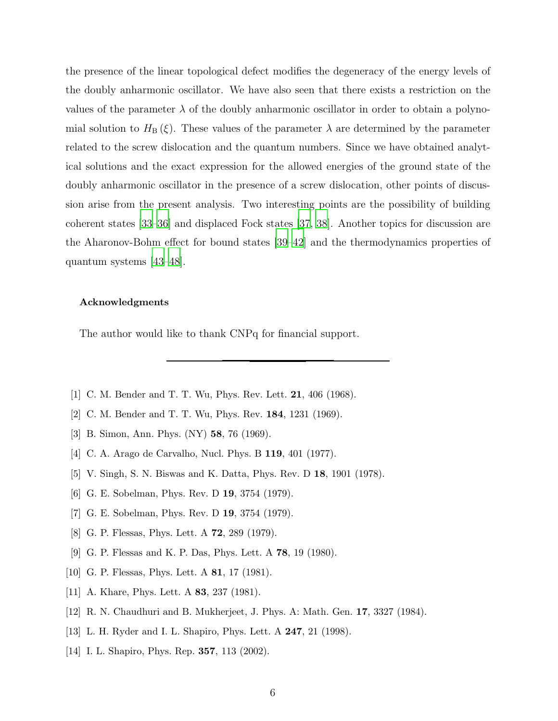the presence of the linear topological defect modifies the degeneracy of the energy levels of the doubly anharmonic oscillator. We have also seen that there exists a restriction on the values of the parameter  $\lambda$  of the doubly anharmonic oscillator in order to obtain a polynomial solution to  $H_B(\xi)$ . These values of the parameter  $\lambda$  are determined by the parameter related to the screw dislocation and the quantum numbers. Since we have obtained analytical solutions and the exact expression for the allowed energies of the ground state of the doubly anharmonic oscillator in the presence of a screw dislocation, other points of discussion arise from the present analysis. Two interesting points are the possibility of building coherent states [\[33](#page-6-12)[–36\]](#page-6-13) and displaced Fock states [\[37,](#page-6-14) [38](#page-6-15)]. Another topics for discussion are the Aharonov-Bohm effect for bound states [\[39](#page-6-16)[–42](#page-6-17)] and the thermodynamics properties of quantum systems [\[43](#page-7-0)[–48\]](#page-7-1).

#### Acknowledgments

The author would like to thank CNPq for financial support.

- <span id="page-5-0"></span>[1] C. M. Bender and T. T. Wu, Phys. Rev. Lett. 21, 406 (1968).
- [2] C. M. Bender and T. T. Wu, Phys. Rev. 184, 1231 (1969).
- [3] B. Simon, Ann. Phys. (NY) 58, 76 (1969).
- [4] C. A. Arago de Carvalho, Nucl. Phys. B 119, 401 (1977).
- [5] V. Singh, S. N. Biswas and K. Datta, Phys. Rev. D 18, 1901 (1978).
- [6] G. E. Sobelman, Phys. Rev. D 19, 3754 (1979).
- <span id="page-5-1"></span>[7] G. E. Sobelman, Phys. Rev. D 19, 3754 (1979).
- <span id="page-5-2"></span>[8] G. P. Flessas, Phys. Lett. A 72, 289 (1979).
- <span id="page-5-5"></span>[9] G. P. Flessas and K. P. Das, Phys. Lett. A 78, 19 (1980).
- [10] G. P. Flessas, Phys. Lett. A **81**, 17 (1981).
- [11] A. Khare, Phys. Lett. A **83**, 237 (1981).
- <span id="page-5-3"></span>[12] R. N. Chaudhuri and B. Mukherjeet, J. Phys. A: Math. Gen. 17, 3327 (1984).
- <span id="page-5-4"></span>[13] L. H. Ryder and I. L. Shapiro, Phys. Lett. A 247, 21 (1998).
- [14] I. L. Shapiro, Phys. Rep. **357**, 113 (2002).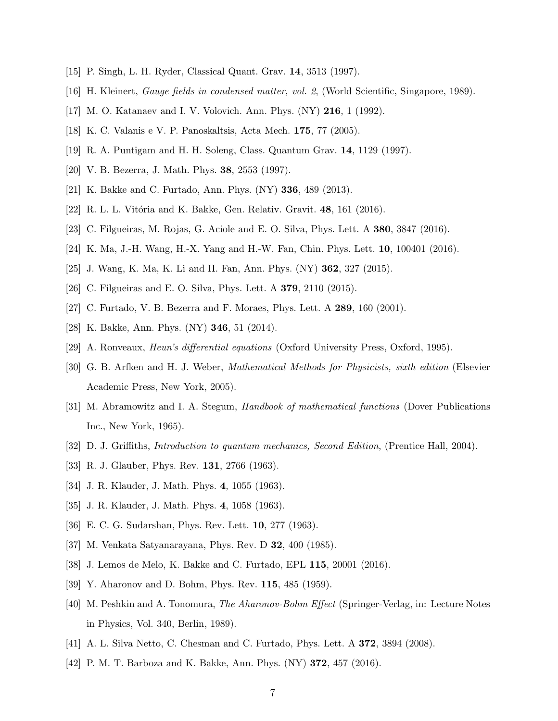- <span id="page-6-1"></span><span id="page-6-0"></span>[15] P. Singh, L. H. Ryder, Classical Quant. Grav. 14, 3513 (1997).
- <span id="page-6-7"></span>[16] H. Kleinert, Gauge fields in condensed matter, vol. 2, (World Scientific, Singapore, 1989).
- <span id="page-6-2"></span>[17] M. O. Katanaev and I. V. Volovich. Ann. Phys. (NY) 216, 1 (1992).
- <span id="page-6-3"></span>[18] K. C. Valanis e V. P. Panoskaltsis, Acta Mech. 175, 77 (2005).
- [19] R. A. Puntigam and H. H. Soleng, Class. Quantum Grav. 14, 1129 (1997).
- [20] V. B. Bezerra, J. Math. Phys. 38, 2553 (1997).
- <span id="page-6-4"></span>[21] K. Bakke and C. Furtado, Ann. Phys. (NY) 336, 489 (2013).
- <span id="page-6-5"></span>[22] R. L. L. Vitória and K. Bakke, Gen. Relativ. Gravit. 48, 161 (2016).
- [23] C. Filgueiras, M. Rojas, G. Aciole and E. O. Silva, Phys. Lett. A 380, 3847 (2016).
- [24] K. Ma, J.-H. Wang, H.-X. Yang and H.-W. Fan, Chin. Phys. Lett. 10, 100401 (2016).
- [25] J. Wang, K. Ma, K. Li and H. Fan, Ann. Phys. (NY) 362, 327 (2015).
- <span id="page-6-8"></span>[26] C. Filgueiras and E. O. Silva, Phys. Lett. A 379, 2110 (2015).
- <span id="page-6-6"></span>[27] C. Furtado, V. B. Bezerra and F. Moraes, Phys. Lett. A 289, 160 (2001).
- <span id="page-6-9"></span>[28] K. Bakke, Ann. Phys. (NY) 346, 51 (2014).
- <span id="page-6-10"></span>[29] A. Ronveaux, Heun's differential equations (Oxford University Press, Oxford, 1995).
- [30] G. B. Arfken and H. J. Weber, Mathematical Methods for Physicists, sixth edition (Elsevier Academic Press, New York, 2005).
- [31] M. Abramowitz and I. A. Stegum, Handbook of mathematical functions (Dover Publications Inc., New York, 1965).
- <span id="page-6-11"></span>[32] D. J. Griffiths, Introduction to quantum mechanics, Second Edition, (Prentice Hall, 2004).
- <span id="page-6-12"></span>[33] R. J. Glauber, Phys. Rev. **131**, 2766 (1963).
- [34] J. R. Klauder, J. Math. Phys. 4, 1055 (1963).
- <span id="page-6-13"></span>[35] J. R. Klauder, J. Math. Phys. 4, 1058 (1963).
- [36] E. C. G. Sudarshan, Phys. Rev. Lett. 10, 277 (1963).
- <span id="page-6-14"></span>[37] M. Venkata Satyanarayana, Phys. Rev. D 32, 400 (1985).
- <span id="page-6-15"></span>[38] J. Lemos de Melo, K. Bakke and C. Furtado, EPL 115, 20001 (2016).
- <span id="page-6-16"></span>[39] Y. Aharonov and D. Bohm, Phys. Rev. 115, 485 (1959).
- [40] M. Peshkin and A. Tonomura, The Aharonov-Bohm Effect (Springer-Verlag, in: Lecture Notes in Physics, Vol. 340, Berlin, 1989).
- [41] A. L. Silva Netto, C. Chesman and C. Furtado, Phys. Lett. A 372, 3894 (2008).
- <span id="page-6-17"></span>[42] P. M. T. Barboza and K. Bakke, Ann. Phys. (NY) 372, 457 (2016).